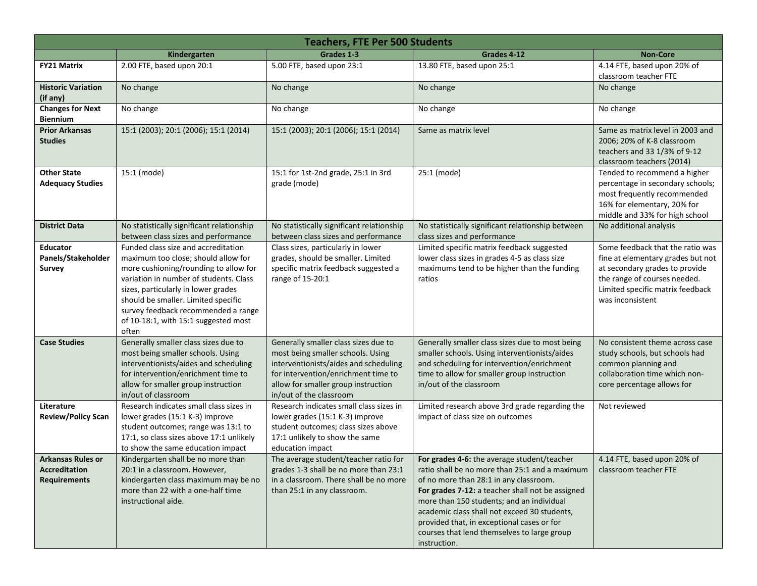| <b>Teachers, FTE Per 500 Students</b>                                   |                                                                                                                                                                                                                                                                                                                                     |                                                                                                                                                                                                                             |                                                                                                                                                                                                                                                                                                                                                                                                       |                                                                                                                                                                                                 |  |
|-------------------------------------------------------------------------|-------------------------------------------------------------------------------------------------------------------------------------------------------------------------------------------------------------------------------------------------------------------------------------------------------------------------------------|-----------------------------------------------------------------------------------------------------------------------------------------------------------------------------------------------------------------------------|-------------------------------------------------------------------------------------------------------------------------------------------------------------------------------------------------------------------------------------------------------------------------------------------------------------------------------------------------------------------------------------------------------|-------------------------------------------------------------------------------------------------------------------------------------------------------------------------------------------------|--|
|                                                                         | Kindergarten                                                                                                                                                                                                                                                                                                                        | Grades 1-3                                                                                                                                                                                                                  | Grades 4-12                                                                                                                                                                                                                                                                                                                                                                                           | <b>Non-Core</b>                                                                                                                                                                                 |  |
| <b>FY21 Matrix</b>                                                      | 2.00 FTE, based upon 20:1                                                                                                                                                                                                                                                                                                           | 5.00 FTE, based upon 23:1                                                                                                                                                                                                   | 13.80 FTE, based upon 25:1                                                                                                                                                                                                                                                                                                                                                                            | 4.14 FTE, based upon 20% of<br>classroom teacher FTE                                                                                                                                            |  |
| <b>Historic Variation</b><br>(if any)                                   | No change                                                                                                                                                                                                                                                                                                                           | No change                                                                                                                                                                                                                   | No change                                                                                                                                                                                                                                                                                                                                                                                             | No change                                                                                                                                                                                       |  |
| <b>Changes for Next</b><br><b>Biennium</b>                              | No change                                                                                                                                                                                                                                                                                                                           | No change                                                                                                                                                                                                                   | No change                                                                                                                                                                                                                                                                                                                                                                                             | No change                                                                                                                                                                                       |  |
| <b>Prior Arkansas</b><br><b>Studies</b>                                 | 15:1 (2003); 20:1 (2006); 15:1 (2014)                                                                                                                                                                                                                                                                                               | 15:1 (2003); 20:1 (2006); 15:1 (2014)                                                                                                                                                                                       | Same as matrix level                                                                                                                                                                                                                                                                                                                                                                                  | Same as matrix level in 2003 and<br>2006; 20% of K-8 classroom<br>teachers and 33 1/3% of 9-12<br>classroom teachers (2014)                                                                     |  |
| <b>Other State</b><br><b>Adequacy Studies</b>                           | 15:1 (mode)                                                                                                                                                                                                                                                                                                                         | 15:1 for 1st-2nd grade, 25:1 in 3rd<br>grade (mode)                                                                                                                                                                         | 25:1 (mode)                                                                                                                                                                                                                                                                                                                                                                                           | Tended to recommend a higher<br>percentage in secondary schools;<br>most frequently recommended<br>16% for elementary, 20% for<br>middle and 33% for high school                                |  |
| <b>District Data</b>                                                    | No statistically significant relationship<br>between class sizes and performance                                                                                                                                                                                                                                                    | No statistically significant relationship<br>between class sizes and performance                                                                                                                                            | No statistically significant relationship between<br>class sizes and performance                                                                                                                                                                                                                                                                                                                      | No additional analysis                                                                                                                                                                          |  |
| <b>Educator</b><br>Panels/Stakeholder<br>Survey                         | Funded class size and accreditation<br>maximum too close; should allow for<br>more cushioning/rounding to allow for<br>variation in number of students. Class<br>sizes, particularly in lower grades<br>should be smaller. Limited specific<br>survey feedback recommended a range<br>of 10-18:1, with 15:1 suggested most<br>often | Class sizes, particularly in lower<br>grades, should be smaller. Limited<br>specific matrix feedback suggested a<br>range of 15-20:1                                                                                        | Limited specific matrix feedback suggested<br>lower class sizes in grades 4-5 as class size<br>maximums tend to be higher than the funding<br>ratios                                                                                                                                                                                                                                                  | Some feedback that the ratio was<br>fine at elementary grades but not<br>at secondary grades to provide<br>the range of courses needed.<br>Limited specific matrix feedback<br>was inconsistent |  |
| <b>Case Studies</b>                                                     | Generally smaller class sizes due to<br>most being smaller schools. Using<br>interventionists/aides and scheduling<br>for intervention/enrichment time to<br>allow for smaller group instruction<br>in/out of classroom                                                                                                             | Generally smaller class sizes due to<br>most being smaller schools. Using<br>interventionists/aides and scheduling<br>for intervention/enrichment time to<br>allow for smaller group instruction<br>in/out of the classroom | Generally smaller class sizes due to most being<br>smaller schools. Using interventionists/aides<br>and scheduling for intervention/enrichment<br>time to allow for smaller group instruction<br>in/out of the classroom                                                                                                                                                                              | No consistent theme across case<br>study schools, but schools had<br>common planning and<br>collaboration time which non-<br>core percentage allows for                                         |  |
| Literature<br><b>Review/Policy Scan</b>                                 | Research indicates small class sizes in<br>lower grades (15:1 K-3) improve<br>student outcomes; range was 13:1 to<br>17:1, so class sizes above 17:1 unlikely<br>to show the same education impact                                                                                                                                  | Research indicates small class sizes in<br>lower grades (15:1 K-3) improve<br>student outcomes; class sizes above<br>17:1 unlikely to show the same<br>education impact                                                     | Limited research above 3rd grade regarding the<br>impact of class size on outcomes                                                                                                                                                                                                                                                                                                                    | Not reviewed                                                                                                                                                                                    |  |
| <b>Arkansas Rules or</b><br><b>Accreditation</b><br><b>Requirements</b> | Kindergarten shall be no more than<br>20:1 in a classroom. However,<br>kindergarten class maximum may be no<br>more than 22 with a one-half time<br>instructional aide.                                                                                                                                                             | The average student/teacher ratio for<br>grades 1-3 shall be no more than 23:1<br>in a classroom. There shall be no more<br>than 25:1 in any classroom.                                                                     | For grades 4-6: the average student/teacher<br>ratio shall be no more than 25:1 and a maximum<br>of no more than 28:1 in any classroom.<br>For grades 7-12: a teacher shall not be assigned<br>more than 150 students; and an individual<br>academic class shall not exceed 30 students,<br>provided that, in exceptional cases or for<br>courses that lend themselves to large group<br>instruction. | 4.14 FTE, based upon 20% of<br>classroom teacher FTE                                                                                                                                            |  |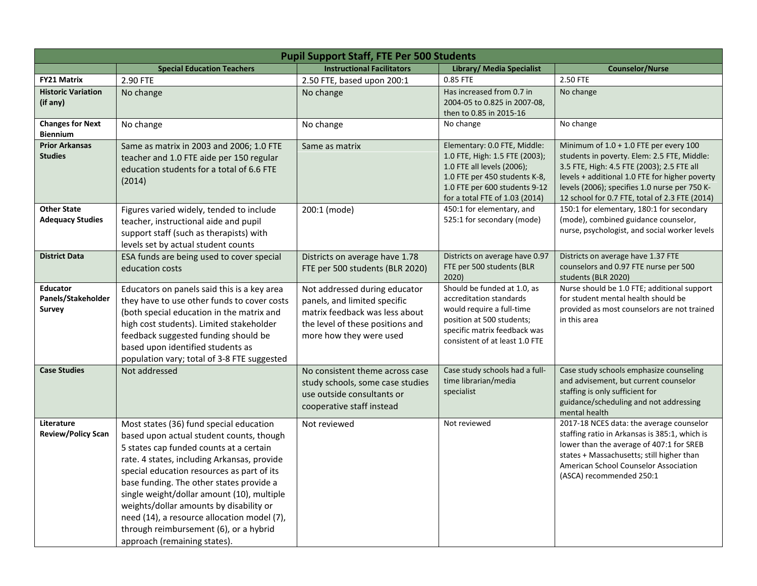| <b>Pupil Support Staff, FTE Per 500 Students</b> |                                                                                                                                                                                                                                                                                                                                                                                                                                                                                           |                                                                                                                                                                |                                                                                                                                                                                                  |                                                                                                                                                                                                                                                                                          |  |
|--------------------------------------------------|-------------------------------------------------------------------------------------------------------------------------------------------------------------------------------------------------------------------------------------------------------------------------------------------------------------------------------------------------------------------------------------------------------------------------------------------------------------------------------------------|----------------------------------------------------------------------------------------------------------------------------------------------------------------|--------------------------------------------------------------------------------------------------------------------------------------------------------------------------------------------------|------------------------------------------------------------------------------------------------------------------------------------------------------------------------------------------------------------------------------------------------------------------------------------------|--|
|                                                  | <b>Special Education Teachers</b>                                                                                                                                                                                                                                                                                                                                                                                                                                                         | <b>Instructional Facilitators</b>                                                                                                                              | <b>Library/ Media Specialist</b>                                                                                                                                                                 | <b>Counselor/Nurse</b>                                                                                                                                                                                                                                                                   |  |
| <b>FY21 Matrix</b>                               | 2.90 FTE                                                                                                                                                                                                                                                                                                                                                                                                                                                                                  | 2.50 FTE, based upon 200:1                                                                                                                                     | 0.85 FTE                                                                                                                                                                                         | 2.50 FTE                                                                                                                                                                                                                                                                                 |  |
| <b>Historic Variation</b><br>(if any)            | No change                                                                                                                                                                                                                                                                                                                                                                                                                                                                                 | No change                                                                                                                                                      | Has increased from 0.7 in<br>2004-05 to 0.825 in 2007-08,<br>then to 0.85 in 2015-16                                                                                                             | No change                                                                                                                                                                                                                                                                                |  |
| <b>Changes for Next</b><br><b>Biennium</b>       | No change                                                                                                                                                                                                                                                                                                                                                                                                                                                                                 | No change                                                                                                                                                      | No change                                                                                                                                                                                        | No change                                                                                                                                                                                                                                                                                |  |
| <b>Prior Arkansas</b><br><b>Studies</b>          | Same as matrix in 2003 and 2006; 1.0 FTE<br>teacher and 1.0 FTE aide per 150 regular<br>education students for a total of 6.6 FTE<br>(2014)                                                                                                                                                                                                                                                                                                                                               | Same as matrix                                                                                                                                                 | Elementary: 0.0 FTE, Middle:<br>1.0 FTE, High: 1.5 FTE (2003);<br>1.0 FTE all levels (2006);<br>1.0 FTE per 450 students K-8,<br>1.0 FTE per 600 students 9-12<br>for a total FTE of 1.03 (2014) | Minimum of 1.0 + 1.0 FTE per every 100<br>students in poverty. Elem: 2.5 FTE, Middle:<br>3.5 FTE, High: 4.5 FTE (2003); 2.5 FTE all<br>levels + additional 1.0 FTE for higher poverty<br>levels (2006); specifies 1.0 nurse per 750 K-<br>12 school for 0.7 FTE, total of 2.3 FTE (2014) |  |
| <b>Other State</b><br><b>Adequacy Studies</b>    | Figures varied widely, tended to include<br>teacher, instructional aide and pupil<br>support staff (such as therapists) with<br>levels set by actual student counts                                                                                                                                                                                                                                                                                                                       | 200:1 (mode)                                                                                                                                                   | 450:1 for elementary, and<br>525:1 for secondary (mode)                                                                                                                                          | 150:1 for elementary, 180:1 for secondary<br>(mode), combined guidance counselor,<br>nurse, psychologist, and social worker levels                                                                                                                                                       |  |
| <b>District Data</b>                             | ESA funds are being used to cover special<br>education costs                                                                                                                                                                                                                                                                                                                                                                                                                              | Districts on average have 1.78<br>FTE per 500 students (BLR 2020)                                                                                              | Districts on average have 0.97<br>FTE per 500 students (BLR<br>2020)                                                                                                                             | Districts on average have 1.37 FTE<br>counselors and 0.97 FTE nurse per 500<br>students (BLR 2020)                                                                                                                                                                                       |  |
| <b>Educator</b><br>Panels/Stakeholder<br>Survey  | Educators on panels said this is a key area<br>they have to use other funds to cover costs<br>(both special education in the matrix and<br>high cost students). Limited stakeholder<br>feedback suggested funding should be<br>based upon identified students as<br>population vary; total of 3-8 FTE suggested                                                                                                                                                                           | Not addressed during educator<br>panels, and limited specific<br>matrix feedback was less about<br>the level of these positions and<br>more how they were used | Should be funded at 1.0, as<br>accreditation standards<br>would require a full-time<br>position at 500 students;<br>specific matrix feedback was<br>consistent of at least 1.0 FTE               | Nurse should be 1.0 FTE; additional support<br>for student mental health should be<br>provided as most counselors are not trained<br>in this area                                                                                                                                        |  |
| <b>Case Studies</b>                              | Not addressed                                                                                                                                                                                                                                                                                                                                                                                                                                                                             | No consistent theme across case<br>study schools, some case studies<br>use outside consultants or<br>cooperative staff instead                                 | Case study schools had a full-<br>time librarian/media<br>specialist                                                                                                                             | Case study schools emphasize counseling<br>and advisement, but current counselor<br>staffing is only sufficient for<br>guidance/scheduling and not addressing<br>mental health                                                                                                           |  |
| Literature<br><b>Review/Policy Scan</b>          | Most states (36) fund special education<br>based upon actual student counts, though<br>5 states cap funded counts at a certain<br>rate. 4 states, including Arkansas, provide<br>special education resources as part of its<br>base funding. The other states provide a<br>single weight/dollar amount (10), multiple<br>weights/dollar amounts by disability or<br>need (14), a resource allocation model (7),<br>through reimbursement (6), or a hybrid<br>approach (remaining states). | Not reviewed                                                                                                                                                   | Not reviewed                                                                                                                                                                                     | 2017-18 NCES data: the average counselor<br>staffing ratio in Arkansas is 385:1, which is<br>lower than the average of 407:1 for SREB<br>states + Massachusetts; still higher than<br>American School Counselor Association<br>(ASCA) recommended 250:1                                  |  |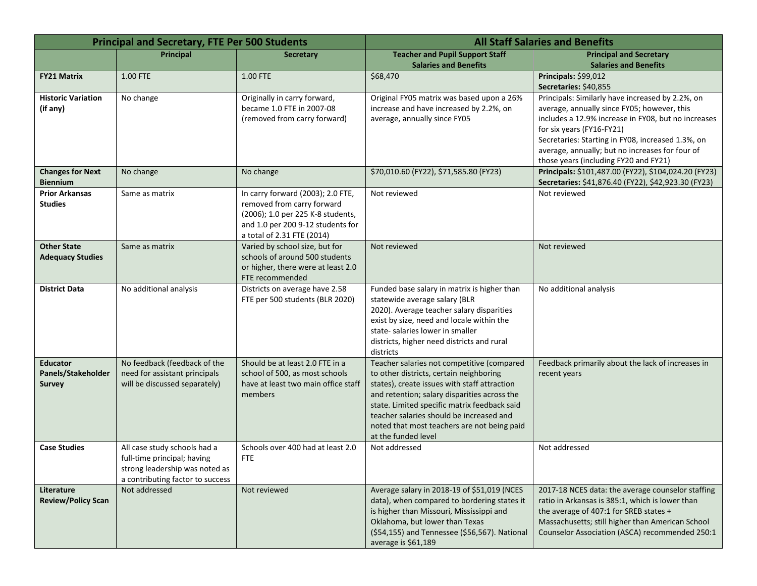| <b>Principal and Secretary, FTE Per 500 Students</b>   |                                                                                                                                   | <b>All Staff Salaries and Benefits</b>                                                                                                                                  |                                                                                                                                                                                                                                                                                                                                                         |                                                                                                                                                                                                                                                                                                                                      |
|--------------------------------------------------------|-----------------------------------------------------------------------------------------------------------------------------------|-------------------------------------------------------------------------------------------------------------------------------------------------------------------------|---------------------------------------------------------------------------------------------------------------------------------------------------------------------------------------------------------------------------------------------------------------------------------------------------------------------------------------------------------|--------------------------------------------------------------------------------------------------------------------------------------------------------------------------------------------------------------------------------------------------------------------------------------------------------------------------------------|
|                                                        | Principal                                                                                                                         | <b>Secretary</b>                                                                                                                                                        | <b>Teacher and Pupil Support Staff</b><br><b>Salaries and Benefits</b>                                                                                                                                                                                                                                                                                  | <b>Principal and Secretary</b><br><b>Salaries and Benefits</b>                                                                                                                                                                                                                                                                       |
| <b>FY21 Matrix</b>                                     | 1.00 FTE                                                                                                                          | 1.00 FTE                                                                                                                                                                | \$68,470                                                                                                                                                                                                                                                                                                                                                | Principals: \$99,012<br>Secretaries: \$40,855                                                                                                                                                                                                                                                                                        |
| <b>Historic Variation</b><br>(if any)                  | No change                                                                                                                         | Originally in carry forward,<br>became 1.0 FTE in 2007-08<br>(removed from carry forward)                                                                               | Original FY05 matrix was based upon a 26%<br>increase and have increased by 2.2%, on<br>average, annually since FY05                                                                                                                                                                                                                                    | Principals: Similarly have increased by 2.2%, on<br>average, annually since FY05; however, this<br>includes a 12.9% increase in FY08, but no increases<br>for six years (FY16-FY21)<br>Secretaries: Starting in FY08, increased 1.3%, on<br>average, annually; but no increases for four of<br>those years (including FY20 and FY21) |
| <b>Changes for Next</b><br><b>Biennium</b>             | No change                                                                                                                         | No change                                                                                                                                                               | \$70,010.60 (FY22), \$71,585.80 (FY23)                                                                                                                                                                                                                                                                                                                  | Principals: \$101,487.00 (FY22), \$104,024.20 (FY23)<br>Secretaries: \$41,876.40 (FY22), \$42,923.30 (FY23)                                                                                                                                                                                                                          |
| <b>Prior Arkansas</b><br><b>Studies</b>                | Same as matrix                                                                                                                    | In carry forward (2003); 2.0 FTE,<br>removed from carry forward<br>(2006); 1.0 per 225 K-8 students,<br>and 1.0 per 200 9-12 students for<br>a total of 2.31 FTE (2014) | Not reviewed                                                                                                                                                                                                                                                                                                                                            | Not reviewed                                                                                                                                                                                                                                                                                                                         |
| <b>Other State</b><br><b>Adequacy Studies</b>          | Same as matrix                                                                                                                    | Varied by school size, but for<br>schools of around 500 students<br>or higher, there were at least 2.0<br>FTE recommended                                               | Not reviewed                                                                                                                                                                                                                                                                                                                                            | Not reviewed                                                                                                                                                                                                                                                                                                                         |
| <b>District Data</b>                                   | No additional analysis                                                                                                            | Districts on average have 2.58<br>FTE per 500 students (BLR 2020)                                                                                                       | Funded base salary in matrix is higher than<br>statewide average salary (BLR<br>2020). Average teacher salary disparities<br>exist by size, need and locale within the<br>state-salaries lower in smaller<br>districts, higher need districts and rural<br>districts                                                                                    | No additional analysis                                                                                                                                                                                                                                                                                                               |
| <b>Educator</b><br>Panels/Stakeholder<br><b>Survey</b> | No feedback (feedback of the<br>need for assistant principals<br>will be discussed separately)                                    | Should be at least 2.0 FTE in a<br>school of 500, as most schools<br>have at least two main office staff<br>members                                                     | Teacher salaries not competitive (compared<br>to other districts, certain neighboring<br>states), create issues with staff attraction<br>and retention; salary disparities across the<br>state. Limited specific matrix feedback said<br>teacher salaries should be increased and<br>noted that most teachers are not being paid<br>at the funded level | Feedback primarily about the lack of increases in<br>recent years                                                                                                                                                                                                                                                                    |
| <b>Case Studies</b>                                    | All case study schools had a<br>full-time principal; having<br>strong leadership was noted as<br>a contributing factor to success | Schools over 400 had at least 2.0<br><b>FTE</b>                                                                                                                         | Not addressed                                                                                                                                                                                                                                                                                                                                           | Not addressed                                                                                                                                                                                                                                                                                                                        |
| Literature<br><b>Review/Policy Scan</b>                | Not addressed                                                                                                                     | Not reviewed                                                                                                                                                            | Average salary in 2018-19 of \$51,019 (NCES<br>data), when compared to bordering states it<br>is higher than Missouri, Mississippi and<br>Oklahoma, but lower than Texas<br>(\$54,155) and Tennessee (\$56,567). National<br>average is \$61,189                                                                                                        | 2017-18 NCES data: the average counselor staffing<br>ratio in Arkansas is 385:1, which is lower than<br>the average of 407:1 for SREB states +<br>Massachusetts; still higher than American School<br>Counselor Association (ASCA) recommended 250:1                                                                                 |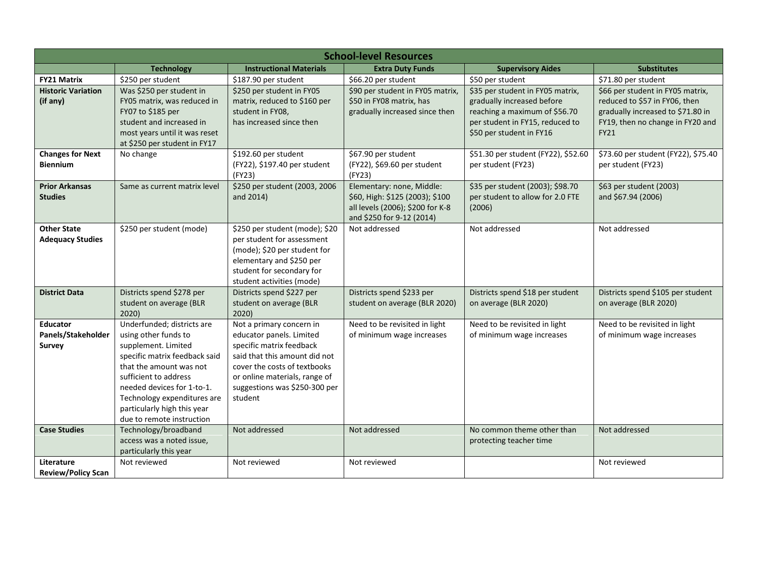| <b>School-level Resources</b>                                          |                                                                                                                                                                                                                                                                                                                 |                                                                                                                                                                                                                                                 |                                                                                                                               |                                                                                                                                                                |                                                                                                                                                           |
|------------------------------------------------------------------------|-----------------------------------------------------------------------------------------------------------------------------------------------------------------------------------------------------------------------------------------------------------------------------------------------------------------|-------------------------------------------------------------------------------------------------------------------------------------------------------------------------------------------------------------------------------------------------|-------------------------------------------------------------------------------------------------------------------------------|----------------------------------------------------------------------------------------------------------------------------------------------------------------|-----------------------------------------------------------------------------------------------------------------------------------------------------------|
|                                                                        | <b>Technology</b>                                                                                                                                                                                                                                                                                               | <b>Instructional Materials</b>                                                                                                                                                                                                                  | <b>Extra Duty Funds</b>                                                                                                       | <b>Supervisory Aides</b>                                                                                                                                       | <b>Substitutes</b>                                                                                                                                        |
| <b>FY21 Matrix</b>                                                     | \$250 per student                                                                                                                                                                                                                                                                                               | \$187.90 per student                                                                                                                                                                                                                            | \$66.20 per student                                                                                                           | \$50 per student                                                                                                                                               | \$71.80 per student                                                                                                                                       |
| <b>Historic Variation</b><br>(if any)                                  | Was \$250 per student in<br>FY05 matrix, was reduced in<br>FY07 to \$185 per<br>student and increased in<br>most years until it was reset<br>at \$250 per student in FY17                                                                                                                                       | \$250 per student in FY05<br>matrix, reduced to \$160 per<br>student in FY08,<br>has increased since then                                                                                                                                       | \$90 per student in FY05 matrix,<br>\$50 in FY08 matrix, has<br>gradually increased since then                                | \$35 per student in FY05 matrix,<br>gradually increased before<br>reaching a maximum of \$56.70<br>per student in FY15, reduced to<br>\$50 per student in FY16 | \$66 per student in FY05 matrix,<br>reduced to \$57 in FY06, then<br>gradually increased to \$71.80 in<br>FY19, then no change in FY20 and<br><b>FY21</b> |
| <b>Changes for Next</b><br><b>Biennium</b>                             | No change                                                                                                                                                                                                                                                                                                       | \$192.60 per student<br>(FY22), \$197.40 per student<br>(FY23)                                                                                                                                                                                  | \$67.90 per student<br>(FY22), \$69.60 per student<br>(FY23)                                                                  | \$51.30 per student (FY22), \$52.60<br>per student (FY23)                                                                                                      | \$73.60 per student (FY22), \$75.40<br>per student (FY23)                                                                                                 |
| <b>Prior Arkansas</b><br><b>Studies</b>                                | Same as current matrix level                                                                                                                                                                                                                                                                                    | \$250 per student (2003, 2006<br>and 2014)                                                                                                                                                                                                      | Elementary: none, Middle:<br>\$60, High: \$125 (2003); \$100<br>all levels (2006); \$200 for K-8<br>and \$250 for 9-12 (2014) | \$35 per student (2003); \$98.70<br>per student to allow for 2.0 FTE<br>(2006)                                                                                 | \$63 per student (2003)<br>and \$67.94 (2006)                                                                                                             |
| <b>Other State</b><br><b>Adequacy Studies</b>                          | \$250 per student (mode)                                                                                                                                                                                                                                                                                        | \$250 per student (mode); \$20<br>per student for assessment<br>(mode); \$20 per student for<br>elementary and \$250 per<br>student for secondary for<br>student activities (mode)                                                              | Not addressed                                                                                                                 | Not addressed                                                                                                                                                  | Not addressed                                                                                                                                             |
| <b>District Data</b>                                                   | Districts spend \$278 per<br>student on average (BLR<br>2020                                                                                                                                                                                                                                                    | Districts spend \$227 per<br>student on average (BLR<br>2020                                                                                                                                                                                    | Districts spend \$233 per<br>student on average (BLR 2020)                                                                    | Districts spend \$18 per student<br>on average (BLR 2020)                                                                                                      | Districts spend \$105 per student<br>on average (BLR 2020)                                                                                                |
| <b>Educator</b><br>Panels/Stakeholder<br>Survey<br><b>Case Studies</b> | Underfunded; districts are<br>using other funds to<br>supplement. Limited<br>specific matrix feedback said<br>that the amount was not<br>sufficient to address<br>needed devices for 1-to-1.<br>Technology expenditures are<br>particularly high this year<br>due to remote instruction<br>Technology/broadband | Not a primary concern in<br>educator panels. Limited<br>specific matrix feedback<br>said that this amount did not<br>cover the costs of textbooks<br>or online materials, range of<br>suggestions was \$250-300 per<br>student<br>Not addressed | Need to be revisited in light<br>of minimum wage increases<br>Not addressed                                                   | Need to be revisited in light<br>of minimum wage increases<br>No common theme other than                                                                       | Need to be revisited in light<br>of minimum wage increases<br>Not addressed                                                                               |
| Literature                                                             | access was a noted issue,<br>particularly this year<br>Not reviewed                                                                                                                                                                                                                                             | Not reviewed                                                                                                                                                                                                                                    | Not reviewed                                                                                                                  | protecting teacher time                                                                                                                                        | Not reviewed                                                                                                                                              |
| <b>Review/Policy Scan</b>                                              |                                                                                                                                                                                                                                                                                                                 |                                                                                                                                                                                                                                                 |                                                                                                                               |                                                                                                                                                                |                                                                                                                                                           |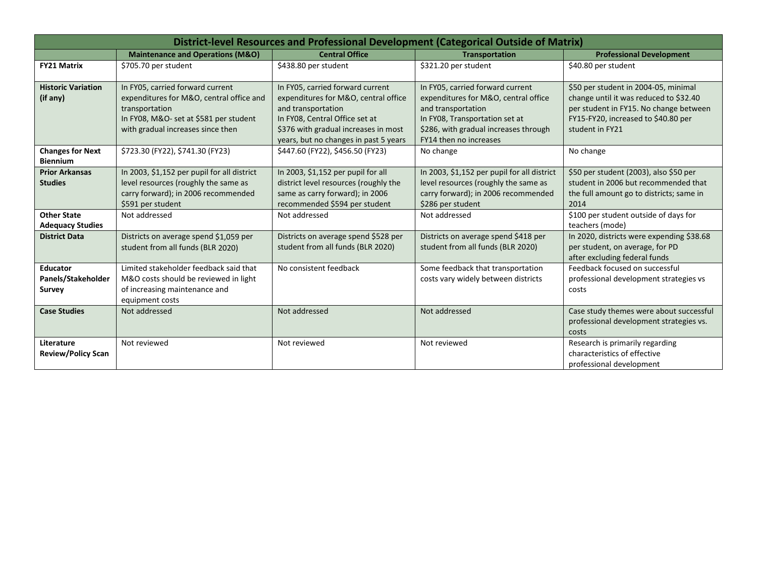| District-level Resources and Professional Development (Categorical Outside of Matrix) |                                                                                                                                                                               |                                                                                                                                                                                                                   |                                                                                                                                                                                                     |                                                                                                                                                                                    |  |
|---------------------------------------------------------------------------------------|-------------------------------------------------------------------------------------------------------------------------------------------------------------------------------|-------------------------------------------------------------------------------------------------------------------------------------------------------------------------------------------------------------------|-----------------------------------------------------------------------------------------------------------------------------------------------------------------------------------------------------|------------------------------------------------------------------------------------------------------------------------------------------------------------------------------------|--|
|                                                                                       | <b>Maintenance and Operations (M&amp;O)</b>                                                                                                                                   | <b>Central Office</b>                                                                                                                                                                                             | <b>Transportation</b>                                                                                                                                                                               | <b>Professional Development</b>                                                                                                                                                    |  |
| <b>FY21 Matrix</b>                                                                    | \$705.70 per student                                                                                                                                                          | \$438.80 per student                                                                                                                                                                                              | \$321.20 per student                                                                                                                                                                                | \$40.80 per student                                                                                                                                                                |  |
| <b>Historic Variation</b><br>(if any)                                                 | In FY05, carried forward current<br>expenditures for M&O, central office and<br>transportation<br>In FY08, M&O- set at \$581 per student<br>with gradual increases since then | In FY05, carried forward current<br>expenditures for M&O, central office<br>and transportation<br>In FY08, Central Office set at<br>\$376 with gradual increases in most<br>years, but no changes in past 5 years | In FY05, carried forward current<br>expenditures for M&O, central office<br>and transportation<br>In FY08, Transportation set at<br>\$286, with gradual increases through<br>FY14 then no increases | \$50 per student in 2004-05, minimal<br>change until it was reduced to \$32.40<br>per student in FY15. No change between<br>FY15-FY20, increased to \$40.80 per<br>student in FY21 |  |
| <b>Changes for Next</b><br><b>Biennium</b>                                            | \$723.30 (FY22), \$741.30 (FY23)                                                                                                                                              | \$447.60 (FY22), \$456.50 (FY23)                                                                                                                                                                                  | No change                                                                                                                                                                                           | No change                                                                                                                                                                          |  |
| <b>Prior Arkansas</b><br><b>Studies</b>                                               | In 2003, \$1,152 per pupil for all district<br>level resources (roughly the same as<br>carry forward); in 2006 recommended<br>\$591 per student                               | In 2003, \$1,152 per pupil for all<br>district level resources (roughly the<br>same as carry forward); in 2006<br>recommended \$594 per student                                                                   | In 2003, \$1,152 per pupil for all district<br>level resources (roughly the same as<br>carry forward); in 2006 recommended<br>\$286 per student                                                     | \$50 per student (2003), also \$50 per<br>student in 2006 but recommended that<br>the full amount go to districts; same in<br>2014                                                 |  |
| <b>Other State</b><br><b>Adequacy Studies</b>                                         | Not addressed                                                                                                                                                                 | Not addressed                                                                                                                                                                                                     | Not addressed                                                                                                                                                                                       | \$100 per student outside of days for<br>teachers (mode)                                                                                                                           |  |
| <b>District Data</b>                                                                  | Districts on average spend \$1,059 per<br>student from all funds (BLR 2020)                                                                                                   | Districts on average spend \$528 per<br>student from all funds (BLR 2020)                                                                                                                                         | Districts on average spend \$418 per<br>student from all funds (BLR 2020)                                                                                                                           | In 2020, districts were expending \$38.68<br>per student, on average, for PD<br>after excluding federal funds                                                                      |  |
| <b>Educator</b><br>Panels/Stakeholder<br>Survey                                       | Limited stakeholder feedback said that<br>M&O costs should be reviewed in light<br>of increasing maintenance and<br>equipment costs                                           | No consistent feedback                                                                                                                                                                                            | Some feedback that transportation<br>costs vary widely between districts                                                                                                                            | Feedback focused on successful<br>professional development strategies vs<br>costs                                                                                                  |  |
| <b>Case Studies</b>                                                                   | Not addressed                                                                                                                                                                 | Not addressed                                                                                                                                                                                                     | Not addressed                                                                                                                                                                                       | Case study themes were about successful<br>professional development strategies vs.<br>costs                                                                                        |  |
| Literature<br><b>Review/Policy Scan</b>                                               | Not reviewed                                                                                                                                                                  | Not reviewed                                                                                                                                                                                                      | Not reviewed                                                                                                                                                                                        | Research is primarily regarding<br>characteristics of effective<br>professional development                                                                                        |  |